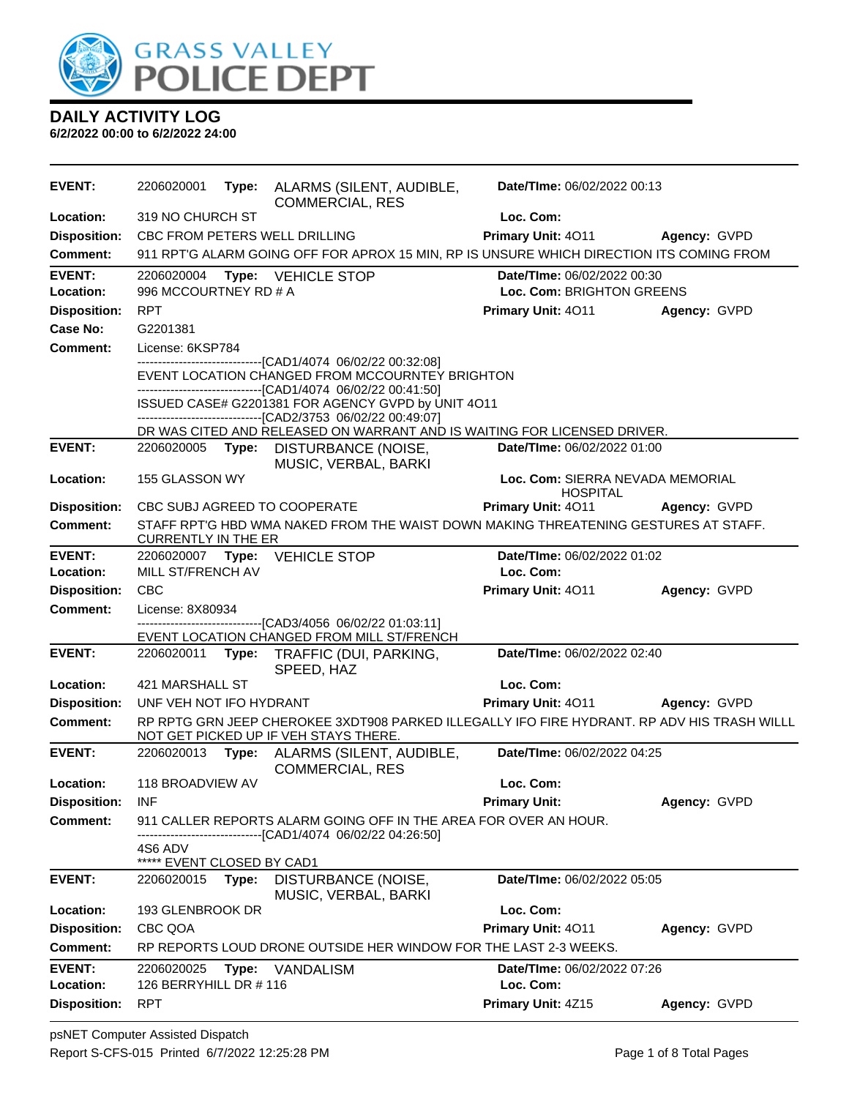

| <b>EVENT:</b>              | 2206020001                               | Type: | ALARMS (SILENT, AUDIBLE,<br><b>COMMERCIAL, RES</b>                                                                                   | Date/TIme: 06/02/2022 00:13                         |              |
|----------------------------|------------------------------------------|-------|--------------------------------------------------------------------------------------------------------------------------------------|-----------------------------------------------------|--------------|
| Location:                  | 319 NO CHURCH ST                         |       |                                                                                                                                      | Loc. Com:                                           |              |
| <b>Disposition:</b>        |                                          |       | CBC FROM PETERS WELL DRILLING                                                                                                        | Primary Unit: 4011                                  | Agency: GVPD |
| <b>Comment:</b>            |                                          |       | 911 RPT'G ALARM GOING OFF FOR APROX 15 MIN, RP IS UNSURE WHICH DIRECTION ITS COMING FROM                                             |                                                     |              |
| <b>EVENT:</b>              |                                          |       | 2206020004 Type: VEHICLE STOP                                                                                                        | Date/TIme: 06/02/2022 00:30                         |              |
| Location:                  | 996 MCCOURTNEY RD # A                    |       |                                                                                                                                      | Loc. Com: BRIGHTON GREENS                           |              |
| <b>Disposition:</b>        | <b>RPT</b>                               |       |                                                                                                                                      | Primary Unit: 4011 Agency: GVPD                     |              |
| Case No:                   | G2201381                                 |       |                                                                                                                                      |                                                     |              |
| <b>Comment:</b>            | License: 6KSP784                         |       |                                                                                                                                      |                                                     |              |
|                            |                                          |       | -------------------------------[CAD1/4074_06/02/22_00:32:08]<br>EVENT LOCATION CHANGED FROM MCCOURNTEY BRIGHTON                      |                                                     |              |
|                            |                                          |       | -------------------------------[CAD1/4074 06/02/22 00:41:50]                                                                         |                                                     |              |
|                            |                                          |       | ISSUED CASE# G2201381 FOR AGENCY GVPD by UNIT 4O11<br>-------------------------------[CAD2/3753 06/02/22 00:49:07]                   |                                                     |              |
|                            |                                          |       | DR WAS CITED AND RELEASED ON WARRANT AND IS WAITING FOR LICENSED DRIVER.                                                             |                                                     |              |
| <b>EVENT:</b>              | 2206020005                               | Type: | DISTURBANCE (NOISE,                                                                                                                  | Date/TIme: 06/02/2022 01:00                         |              |
|                            |                                          |       | MUSIC, VERBAL, BARKI                                                                                                                 |                                                     |              |
| Location:                  | 155 GLASSON WY                           |       |                                                                                                                                      | Loc. Com: SIERRA NEVADA MEMORIAL<br><b>HOSPITAL</b> |              |
| <b>Disposition:</b>        |                                          |       | CBC SUBJ AGREED TO COOPERATE                                                                                                         | Primary Unit: 4011                                  | Agency: GVPD |
| <b>Comment:</b>            |                                          |       | STAFF RPT'G HBD WMA NAKED FROM THE WAIST DOWN MAKING THREATENING GESTURES AT STAFF.                                                  |                                                     |              |
|                            | <b>CURRENTLY IN THE ER</b>               |       |                                                                                                                                      |                                                     |              |
| <b>EVENT:</b><br>Location: | MILL ST/FRENCH AV                        |       | 2206020007 Type: VEHICLE STOP                                                                                                        | Date/TIme: 06/02/2022 01:02<br>Loc. Com:            |              |
| <b>Disposition:</b>        | <b>CBC</b>                               |       |                                                                                                                                      | Primary Unit: 4011                                  | Agency: GVPD |
| <b>Comment:</b>            | License: 8X80934                         |       |                                                                                                                                      |                                                     |              |
|                            |                                          |       | --------------------------[CAD3/4056_06/02/22_01:03:11]                                                                              |                                                     |              |
|                            |                                          |       | EVENT LOCATION CHANGED FROM MILL ST/FRENCH                                                                                           |                                                     |              |
| <b>EVENT:</b>              | 2206020011                               |       | Type: TRAFFIC (DUI, PARKING,<br>SPEED, HAZ                                                                                           | Date/TIme: 06/02/2022 02:40                         |              |
| Location:                  | 421 MARSHALL ST                          |       |                                                                                                                                      | Loc. Com:                                           |              |
| <b>Disposition:</b>        | UNF VEH NOT IFO HYDRANT                  |       |                                                                                                                                      | Primary Unit: 4011 Agency: GVPD                     |              |
| <b>Comment:</b>            |                                          |       | RP RPTG GRN JEEP CHEROKEE 3XDT908 PARKED ILLEGALLY IFO FIRE HYDRANT. RP ADV HIS TRASH WILLL<br>NOT GET PICKED UP IF VEH STAYS THERE. |                                                     |              |
| <b>EVENT:</b>              |                                          |       | 2206020013 Type: ALARMS (SILENT, AUDIBLE,<br><b>COMMERCIAL, RES</b>                                                                  | Date/TIme: 06/02/2022 04:25                         |              |
| Location:                  | 118 BROADVIEW AV                         |       |                                                                                                                                      | Loc. Com:                                           |              |
| <b>Disposition:</b>        | <b>INF</b>                               |       |                                                                                                                                      | <b>Primary Unit:</b>                                | Agency: GVPD |
| <b>Comment:</b>            |                                          |       | 911 CALLER REPORTS ALARM GOING OFF IN THE AREA FOR OVER AN HOUR.<br>--[CAD1/4074 06/02/22 04:26:50]                                  |                                                     |              |
|                            | 4S6 ADV<br>*****<br>EVENT CLOSED BY CAD1 |       |                                                                                                                                      |                                                     |              |
| <b>EVENT:</b>              | 2206020015                               | Type: | DISTURBANCE (NOISE,<br>MUSIC, VERBAL, BARKI                                                                                          | Date/TIme: 06/02/2022 05:05                         |              |
| Location:                  | 193 GLENBROOK DR                         |       |                                                                                                                                      | Loc. Com:                                           |              |
| <b>Disposition:</b>        | CBC QOA                                  |       |                                                                                                                                      | Primary Unit: 4011                                  | Agency: GVPD |
| <b>Comment:</b>            |                                          |       | RP REPORTS LOUD DRONE OUTSIDE HER WINDOW FOR THE LAST 2-3 WEEKS.                                                                     |                                                     |              |
| <b>EVENT:</b>              | 2206020025                               | Type: | <b>VANDALISM</b>                                                                                                                     | Date/TIme: 06/02/2022 07:26                         |              |
| Location:                  | 126 BERRYHILL DR #116                    |       |                                                                                                                                      | Loc. Com:                                           |              |
| <b>Disposition:</b>        | <b>RPT</b>                               |       |                                                                                                                                      | Primary Unit: 4Z15                                  | Agency: GVPD |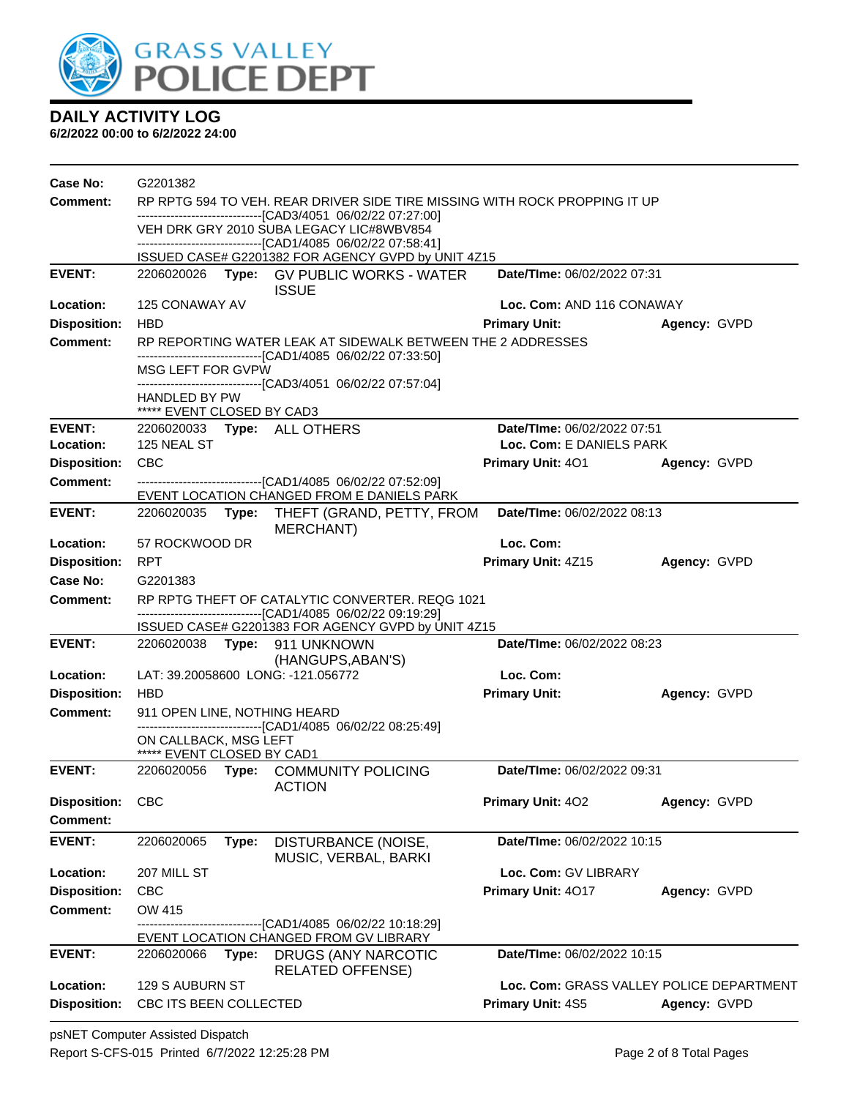

| <b>Case No:</b>     | G2201382                                                                                                                                                                |       |                                                                                                            |                                          |              |  |  |
|---------------------|-------------------------------------------------------------------------------------------------------------------------------------------------------------------------|-------|------------------------------------------------------------------------------------------------------------|------------------------------------------|--------------|--|--|
| Comment:            | RP RPTG 594 TO VEH. REAR DRIVER SIDE TIRE MISSING WITH ROCK PROPPING IT UP                                                                                              |       |                                                                                                            |                                          |              |  |  |
|                     | -------------------------------[CAD3/4051_06/02/22 07:27:00]<br>VEH DRK GRY 2010 SUBA LEGACY LIC#8WBV854<br>------------------------------[CAD1/4085 06/02/22 07:58:41] |       |                                                                                                            |                                          |              |  |  |
|                     |                                                                                                                                                                         |       |                                                                                                            |                                          |              |  |  |
|                     |                                                                                                                                                                         |       | ISSUED CASE# G2201382 FOR AGENCY GVPD by UNIT 4Z15                                                         |                                          |              |  |  |
| <b>EVENT:</b>       |                                                                                                                                                                         |       | 2206020026 Type: GV PUBLIC WORKS - WATER                                                                   | Date/TIme: 06/02/2022 07:31              |              |  |  |
| <b>Location:</b>    | 125 CONAWAY AV                                                                                                                                                          |       | <b>ISSUE</b>                                                                                               | Loc. Com: AND 116 CONAWAY                |              |  |  |
| <b>Disposition:</b> | <b>HBD</b>                                                                                                                                                              |       |                                                                                                            | <b>Primary Unit:</b>                     | Agency: GVPD |  |  |
| <b>Comment:</b>     |                                                                                                                                                                         |       | RP REPORTING WATER LEAK AT SIDEWALK BETWEEN THE 2 ADDRESSES                                                |                                          |              |  |  |
|                     |                                                                                                                                                                         |       | -------------------------------[CAD1/4085 06/02/22 07:33:50]                                               |                                          |              |  |  |
|                     | MSG LEFT FOR GVPW                                                                                                                                                       |       |                                                                                                            |                                          |              |  |  |
|                     | <b>HANDLED BY PW</b>                                                                                                                                                    |       | -------------------------------[CAD3/4051_06/02/22 07:57:04]                                               |                                          |              |  |  |
|                     | ***** EVENT CLOSED BY CAD3                                                                                                                                              |       |                                                                                                            |                                          |              |  |  |
| <b>EVENT:</b>       |                                                                                                                                                                         |       | 2206020033 Type: ALL OTHERS                                                                                | Date/TIme: 06/02/2022 07:51              |              |  |  |
| Location:           | 125 NEAL ST                                                                                                                                                             |       |                                                                                                            | Loc. Com: E DANIELS PARK                 |              |  |  |
| <b>Disposition:</b> | <b>CBC</b>                                                                                                                                                              |       |                                                                                                            | <b>Primary Unit: 401</b>                 | Agency: GVPD |  |  |
| <b>Comment:</b>     |                                                                                                                                                                         |       | -------------------------------[CAD1/4085 06/02/22 07:52:09]<br>EVENT LOCATION CHANGED FROM E DANIELS PARK |                                          |              |  |  |
| <b>EVENT:</b>       | 2206020035                                                                                                                                                              |       | Type: THEFT (GRAND, PETTY, FROM<br><b>MERCHANT)</b>                                                        | Date/TIme: 06/02/2022 08:13              |              |  |  |
| Location:           | 57 ROCKWOOD DR                                                                                                                                                          |       |                                                                                                            | Loc. Com:                                |              |  |  |
| <b>Disposition:</b> | <b>RPT</b>                                                                                                                                                              |       |                                                                                                            | Primary Unit: 4Z15                       | Agency: GVPD |  |  |
| Case No:            | G2201383                                                                                                                                                                |       |                                                                                                            |                                          |              |  |  |
| <b>Comment:</b>     |                                                                                                                                                                         |       | RP RPTG THEFT OF CATALYTIC CONVERTER, REQG 1021                                                            |                                          |              |  |  |
|                     | -------------------------------[CAD1/4085_06/02/22_09:19:29]                                                                                                            |       |                                                                                                            |                                          |              |  |  |
| <b>EVENT:</b>       |                                                                                                                                                                         |       | ISSUED CASE# G2201383 FOR AGENCY GVPD by UNIT 4Z15<br>2206020038 Type: 911 UNKNOWN                         | Date/TIme: 06/02/2022 08:23              |              |  |  |
|                     |                                                                                                                                                                         |       | (HANGUPS, ABAN'S)                                                                                          |                                          |              |  |  |
| Location:           |                                                                                                                                                                         |       | LAT: 39.20058600 LONG: -121.056772                                                                         | Loc. Com:                                |              |  |  |
| <b>Disposition:</b> | <b>HBD</b>                                                                                                                                                              |       |                                                                                                            | <b>Primary Unit:</b>                     | Agency: GVPD |  |  |
| <b>Comment:</b>     | 911 OPEN LINE, NOTHING HEARD                                                                                                                                            |       |                                                                                                            |                                          |              |  |  |
|                     | ON CALLBACK, MSG LEFT                                                                                                                                                   |       | -------------------------------[CAD1/4085 06/02/22 08:25:49]                                               |                                          |              |  |  |
|                     | ***** EVENT CLOSED BY CAD1                                                                                                                                              |       |                                                                                                            |                                          |              |  |  |
| <b>EVENT:</b>       |                                                                                                                                                                         |       | 2206020056 Type: COMMUNITY POLICING<br><b>ACTION</b>                                                       | Date/TIme: 06/02/2022 09:31              |              |  |  |
| <b>Disposition:</b> | CBC                                                                                                                                                                     |       |                                                                                                            | Primary Unit: 402                        | Agency: GVPD |  |  |
| Comment:            |                                                                                                                                                                         |       |                                                                                                            |                                          |              |  |  |
| <b>EVENT:</b>       | 2206020065                                                                                                                                                              | Type: | DISTURBANCE (NOISE,<br>MUSIC, VERBAL, BARKI                                                                | Date/TIme: 06/02/2022 10:15              |              |  |  |
| Location:           | 207 MILL ST                                                                                                                                                             |       |                                                                                                            | Loc. Com: GV LIBRARY                     |              |  |  |
| <b>Disposition:</b> | CBC                                                                                                                                                                     |       |                                                                                                            | Primary Unit: 4017                       | Agency: GVPD |  |  |
| Comment:            | OW 415                                                                                                                                                                  |       |                                                                                                            |                                          |              |  |  |
|                     |                                                                                                                                                                         |       | --------------[CAD1/4085 06/02/22 10:18:29]                                                                |                                          |              |  |  |
| <b>EVENT:</b>       | 2206020066                                                                                                                                                              | Type: | EVENT LOCATION CHANGED FROM GV LIBRARY<br>DRUGS (ANY NARCOTIC                                              | Date/TIme: 06/02/2022 10:15              |              |  |  |
|                     |                                                                                                                                                                         |       | <b>RELATED OFFENSE)</b>                                                                                    |                                          |              |  |  |
| Location:           | 129 S AUBURN ST                                                                                                                                                         |       |                                                                                                            | Loc. Com: GRASS VALLEY POLICE DEPARTMENT |              |  |  |
| <b>Disposition:</b> | CBC ITS BEEN COLLECTED                                                                                                                                                  |       |                                                                                                            | Primary Unit: 4S5                        | Agency: GVPD |  |  |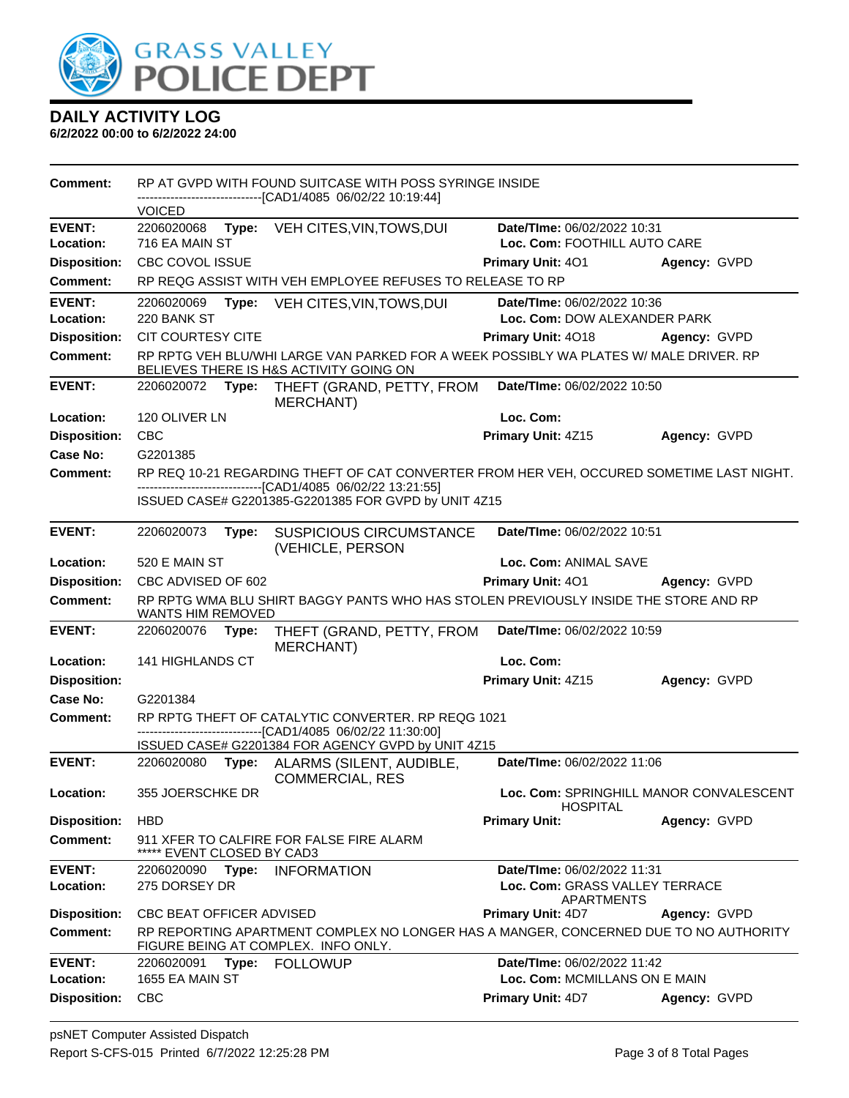

| <b>Comment:</b>                  |                                                                                                                 |       | RP AT GVPD WITH FOUND SUITCASE WITH POSS SYRINGE INSIDE                                                                          |                                                            |              |
|----------------------------------|-----------------------------------------------------------------------------------------------------------------|-------|----------------------------------------------------------------------------------------------------------------------------------|------------------------------------------------------------|--------------|
|                                  | <b>VOICED</b>                                                                                                   |       | ------------------------[CAD1/4085_06/02/22_10:19:44]                                                                            |                                                            |              |
| <b>EVENT:</b>                    | 2206020068                                                                                                      |       | Type: VEH CITES, VIN, TOWS, DUI                                                                                                  | Date/TIme: 06/02/2022 10:31                                |              |
| Location:                        | 716 EA MAIN ST                                                                                                  |       |                                                                                                                                  | Loc. Com: FOOTHILL AUTO CARE                               |              |
| <b>Disposition:</b>              | <b>CBC COVOL ISSUE</b>                                                                                          |       |                                                                                                                                  | <b>Primary Unit: 401</b>                                   | Agency: GVPD |
| <b>Comment:</b>                  |                                                                                                                 |       | RP REQG ASSIST WITH VEH EMPLOYEE REFUSES TO RELEASE TO RP                                                                        |                                                            |              |
| <b>EVENT:</b>                    | 2206020069                                                                                                      |       | Type: VEH CITES, VIN, TOWS, DUI                                                                                                  | Date/TIme: 06/02/2022 10:36                                |              |
| Location:                        | 220 BANK ST                                                                                                     |       |                                                                                                                                  | Loc. Com: DOW ALEXANDER PARK                               |              |
| <b>Disposition:</b>              | <b>CIT COURTESY CITE</b>                                                                                        |       |                                                                                                                                  | <b>Primary Unit: 4018</b>                                  | Agency: GVPD |
| Comment:                         |                                                                                                                 |       | RP RPTG VEH BLU/WHI LARGE VAN PARKED FOR A WEEK POSSIBLY WA PLATES W/ MALE DRIVER. RP<br>BELIEVES THERE IS H&S ACTIVITY GOING ON |                                                            |              |
| <b>EVENT:</b>                    |                                                                                                                 |       | 2206020072 Type: THEFT (GRAND, PETTY, FROM<br><b>MERCHANT</b> )                                                                  | Date/TIme: 06/02/2022 10:50                                |              |
| Location:                        | 120 OLIVER LN                                                                                                   |       |                                                                                                                                  | Loc. Com:                                                  |              |
| <b>Disposition:</b>              | <b>CBC</b>                                                                                                      |       |                                                                                                                                  | Primary Unit: 4Z15                                         | Agency: GVPD |
| Case No:                         | G2201385                                                                                                        |       |                                                                                                                                  |                                                            |              |
| Comment:                         |                                                                                                                 |       | RP REQ 10-21 REGARDING THEFT OF CAT CONVERTER FROM HER VEH, OCCURED SOMETIME LAST NIGHT.                                         |                                                            |              |
|                                  |                                                                                                                 |       | ------------------------------[CAD1/4085 06/02/22 13:21:55]<br>ISSUED CASE# G2201385-G2201385 FOR GVPD by UNIT 4Z15              |                                                            |              |
|                                  |                                                                                                                 |       |                                                                                                                                  |                                                            |              |
| <b>EVENT:</b>                    | 2206020073                                                                                                      | Type: | <b>SUSPICIOUS CIRCUMSTANCE</b><br>(VEHICLE, PERSON                                                                               | Date/TIme: 06/02/2022 10:51                                |              |
| Location:                        | 520 E MAIN ST                                                                                                   |       |                                                                                                                                  | Loc. Com: ANIMAL SAVE                                      |              |
| <b>Disposition:</b>              | CBC ADVISED OF 602                                                                                              |       |                                                                                                                                  | Primary Unit: 401                                          | Agency: GVPD |
|                                  | RP RPTG WMA BLU SHIRT BAGGY PANTS WHO HAS STOLEN PREVIOUSLY INSIDE THE STORE AND RP<br><b>WANTS HIM REMOVED</b> |       |                                                                                                                                  |                                                            |              |
| <b>Comment:</b>                  |                                                                                                                 |       |                                                                                                                                  |                                                            |              |
| <b>EVENT:</b>                    | 2206020076                                                                                                      | Type: | THEFT (GRAND, PETTY, FROM<br><b>MERCHANT)</b>                                                                                    | Date/TIme: 06/02/2022 10:59                                |              |
| Location:                        | 141 HIGHLANDS CT                                                                                                |       |                                                                                                                                  | Loc. Com:                                                  |              |
| <b>Disposition:</b>              |                                                                                                                 |       |                                                                                                                                  | Primary Unit: 4Z15                                         | Agency: GVPD |
| Case No:                         | G2201384                                                                                                        |       |                                                                                                                                  |                                                            |              |
| <b>Comment:</b>                  |                                                                                                                 |       | RP RPTG THEFT OF CATALYTIC CONVERTER. RP REQG 1021                                                                               |                                                            |              |
|                                  |                                                                                                                 |       | --------------------------------[CAD1/4085 06/02/22 11:30:00]                                                                    |                                                            |              |
| <b>EVENT:</b>                    | 2206020080                                                                                                      |       | ISSUED CASE# G2201384 FOR AGENCY GVPD by UNIT 4Z15<br>Type: ALARMS (SILENT, AUDIBLE,                                             | Date/TIme: 06/02/2022 11:06                                |              |
| Location:                        | 355 JOERSCHKE DR                                                                                                |       | <b>COMMERCIAL, RES</b>                                                                                                           | Loc. Com: SPRINGHILL MANOR CONVALESCENT<br><b>HOSPITAL</b> |              |
| <b>Disposition:</b>              | <b>HBD</b>                                                                                                      |       |                                                                                                                                  | <b>Primary Unit:</b>                                       | Agency: GVPD |
| <b>Comment:</b>                  | EVENT CLOSED BY CAD3                                                                                            |       | 911 XFER TO CALFIRE FOR FALSE FIRE ALARM                                                                                         |                                                            |              |
| <b>EVENT:</b>                    | 2206020090                                                                                                      | Type: | <b>INFORMATION</b>                                                                                                               | Date/TIme: 06/02/2022 11:31                                |              |
| Location:                        | 275 DORSEY DR                                                                                                   |       |                                                                                                                                  | Loc. Com: GRASS VALLEY TERRACE<br><b>APARTMENTS</b>        |              |
| <b>Disposition:</b>              | CBC BEAT OFFICER ADVISED                                                                                        |       |                                                                                                                                  | <b>Primary Unit: 4D7</b>                                   | Agency: GVPD |
| <b>Comment:</b>                  |                                                                                                                 |       | RP REPORTING APARTMENT COMPLEX NO LONGER HAS A MANGER, CONCERNED DUE TO NO AUTHORITY<br>FIGURE BEING AT COMPLEX. INFO ONLY.      |                                                            |              |
| <b>EVENT:</b>                    | 2206020091                                                                                                      | Type: | <b>FOLLOWUP</b>                                                                                                                  | Date/TIme: 06/02/2022 11:42                                |              |
| Location:<br><b>Disposition:</b> | 1655 EA MAIN ST<br><b>CBC</b>                                                                                   |       |                                                                                                                                  | Loc. Com: MCMILLANS ON E MAIN<br>Primary Unit: 4D7         | Agency: GVPD |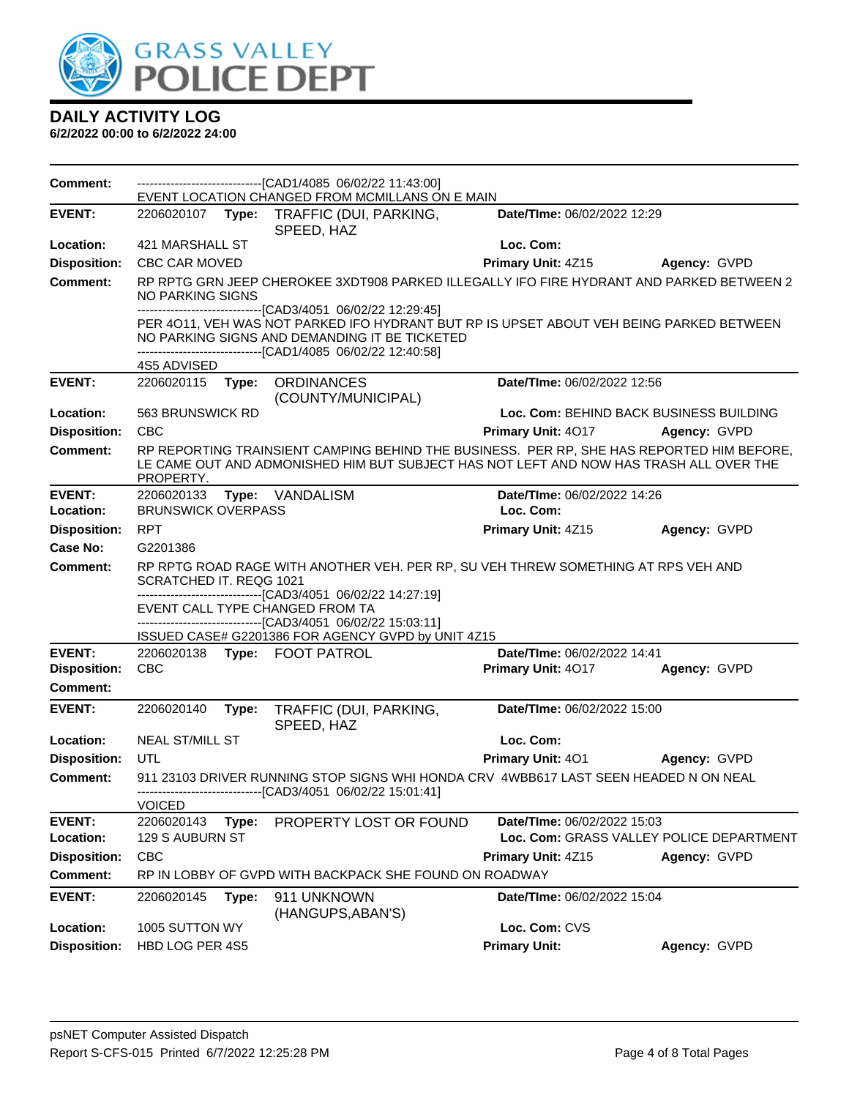

| <b>Comment:</b>            |                               |       | -------------------------------[CAD1/4085 06/02/22 11:43:00]<br>EVENT LOCATION CHANGED FROM MCMILLANS ON E MAIN                                                                                          |                                                                         |              |
|----------------------------|-------------------------------|-------|----------------------------------------------------------------------------------------------------------------------------------------------------------------------------------------------------------|-------------------------------------------------------------------------|--------------|
| <b>EVENT:</b>              |                               |       | 2206020107 Type: TRAFFIC (DUI, PARKING,<br>SPEED, HAZ                                                                                                                                                    | Date/TIme: 06/02/2022 12:29                                             |              |
| Location:                  | 421 MARSHALL ST               |       |                                                                                                                                                                                                          | Loc. Com:                                                               |              |
| <b>Disposition:</b>        | <b>CBC CAR MOVED</b>          |       |                                                                                                                                                                                                          | <b>Primary Unit: 4Z15</b>                                               | Agency: GVPD |
| <b>Comment:</b>            | NO PARKING SIGNS              |       | RP RPTG GRN JEEP CHEROKEE 3XDT908 PARKED ILLEGALLY IFO FIRE HYDRANT AND PARKED BETWEEN 2<br>-----------------------[CAD3/4051_06/02/22 12:29:45]                                                         |                                                                         |              |
|                            |                               |       | PER 4011, VEH WAS NOT PARKED IFO HYDRANT BUT RP IS UPSET ABOUT VEH BEING PARKED BETWEEN<br>NO PARKING SIGNS AND DEMANDING IT BE TICKETED<br>-------------------------------[CAD1/4085 06/02/22 12:40:58] |                                                                         |              |
|                            | 4S5 ADVISED                   |       |                                                                                                                                                                                                          |                                                                         |              |
| <b>EVENT:</b>              |                               |       | 2206020115 Type: ORDINANCES<br>(COUNTY/MUNICIPAL)                                                                                                                                                        | Date/TIme: 06/02/2022 12:56                                             |              |
| Location:                  | 563 BRUNSWICK RD              |       |                                                                                                                                                                                                          | Loc. Com: BEHIND BACK BUSINESS BUILDING                                 |              |
| <b>Disposition:</b>        | <b>CBC</b>                    |       |                                                                                                                                                                                                          | Primary Unit: 4017                                                      | Agency: GVPD |
| <b>Comment:</b>            | PROPERTY.                     |       | RP REPORTING TRAINSIENT CAMPING BEHIND THE BUSINESS. PER RP, SHE HAS REPORTED HIM BEFORE,<br>LE CAME OUT AND ADMONISHED HIM BUT SUBJECT HAS NOT LEFT AND NOW HAS TRASH ALL OVER THE                      |                                                                         |              |
| <b>EVENT:</b>              | 2206020133                    |       | Type: VANDALISM                                                                                                                                                                                          | Date/TIme: 06/02/2022 14:26                                             |              |
| Location:                  | <b>BRUNSWICK OVERPASS</b>     |       |                                                                                                                                                                                                          | Loc. Com:                                                               |              |
| <b>Disposition:</b>        | <b>RPT</b>                    |       |                                                                                                                                                                                                          | Primary Unit: 4Z15                                                      | Agency: GVPD |
| Case No:                   | G2201386                      |       |                                                                                                                                                                                                          |                                                                         |              |
| <b>Comment:</b>            | SCRATCHED IT. REQG 1021       |       | RP RPTG ROAD RAGE WITH ANOTHER VEH. PER RP, SU VEH THREW SOMETHING AT RPS VEH AND<br>-------------------------------[CAD3/4051_06/02/22 14:27:19]                                                        |                                                                         |              |
|                            |                               |       | EVENT CALL TYPE CHANGED FROM TA                                                                                                                                                                          |                                                                         |              |
|                            |                               |       | -------------------------------[CAD3/4051_06/02/22 15:03:11]<br>ISSUED CASE# G2201386 FOR AGENCY GVPD by UNIT 4Z15                                                                                       |                                                                         |              |
| <b>EVENT:</b>              |                               |       | 2206020138 Type: FOOT PATROL                                                                                                                                                                             | Date/TIme: 06/02/2022 14:41                                             |              |
| <b>Disposition:</b>        | <b>CBC</b>                    |       |                                                                                                                                                                                                          | Primary Unit: 4017                                                      | Agency: GVPD |
| Comment:                   |                               |       |                                                                                                                                                                                                          |                                                                         |              |
| <b>EVENT:</b>              | 2206020140                    | Type: | TRAFFIC (DUI, PARKING,<br>SPEED, HAZ                                                                                                                                                                     | Date/TIme: 06/02/2022 15:00                                             |              |
| Location:                  | <b>NEAL ST/MILL ST</b>        |       |                                                                                                                                                                                                          | Loc. Com:                                                               |              |
| <b>Disposition:</b>        | UTL                           |       |                                                                                                                                                                                                          | Primary Unit: 401                                                       | Agency: GVPD |
| Comment:                   |                               |       | 911 23103 DRIVER RUNNING STOP SIGNS WHI HONDA CRV 4WBB617 LAST SEEN HEADED N ON NEAL<br>------------------------------[CAD3/4051_06/02/22 15:01:41]                                                      |                                                                         |              |
|                            | <b>VOICED</b>                 |       |                                                                                                                                                                                                          |                                                                         |              |
| <b>EVENT:</b><br>Location: | 2206020143<br>129 S AUBURN ST | Type: | PROPERTY LOST OR FOUND                                                                                                                                                                                   | Date/TIme: 06/02/2022 15:03<br>Loc. Com: GRASS VALLEY POLICE DEPARTMENT |              |
| <b>Disposition:</b>        | <b>CBC</b>                    |       |                                                                                                                                                                                                          | Primary Unit: 4Z15                                                      | Agency: GVPD |
| <b>Comment:</b>            |                               |       | RP IN LOBBY OF GVPD WITH BACKPACK SHE FOUND ON ROADWAY                                                                                                                                                   |                                                                         |              |
| <b>EVENT:</b>              | 2206020145                    | Type: | 911 UNKNOWN                                                                                                                                                                                              | Date/TIme: 06/02/2022 15:04                                             |              |
|                            |                               |       | (HANGUPS, ABAN'S)                                                                                                                                                                                        |                                                                         |              |
| Location:                  | 1005 SUTTON WY                |       |                                                                                                                                                                                                          | Loc. Com: CVS                                                           |              |
| <b>Disposition:</b>        | HBD LOG PER 4S5               |       |                                                                                                                                                                                                          | <b>Primary Unit:</b>                                                    | Agency: GVPD |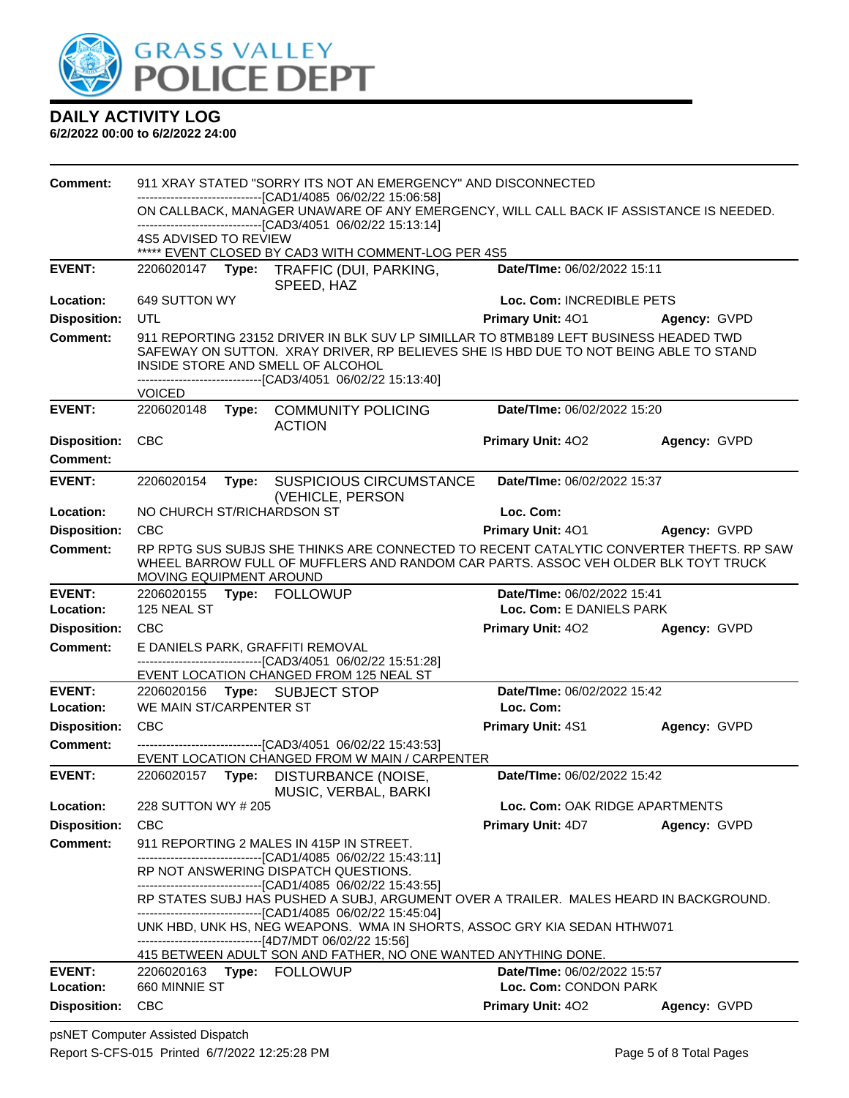

| <b>Comment:</b>            | 911 XRAY STATED "SORRY ITS NOT AN EMERGENCY" AND DISCONNECTED                                                                                                                                                                                                                       |  |                                                                                                                                                                                                                       |                                                         |              |  |  |
|----------------------------|-------------------------------------------------------------------------------------------------------------------------------------------------------------------------------------------------------------------------------------------------------------------------------------|--|-----------------------------------------------------------------------------------------------------------------------------------------------------------------------------------------------------------------------|---------------------------------------------------------|--------------|--|--|
|                            | --------------------------------[CAD1/4085 06/02/22 15:06:58]<br>ON CALLBACK, MANAGER UNAWARE OF ANY EMERGENCY, WILL CALL BACK IF ASSISTANCE IS NEEDED.<br>-------------------------------[CAD3/4051_06/02/22 15:13:14]<br>4S5 ADVISED TO REVIEW                                    |  |                                                                                                                                                                                                                       |                                                         |              |  |  |
|                            |                                                                                                                                                                                                                                                                                     |  |                                                                                                                                                                                                                       |                                                         |              |  |  |
|                            |                                                                                                                                                                                                                                                                                     |  | ***** EVENT CLOSED BY CAD3 WITH COMMENT-LOG PER 4S5                                                                                                                                                                   |                                                         |              |  |  |
| <b>EVENT:</b>              |                                                                                                                                                                                                                                                                                     |  | 2206020147 Type: TRAFFIC (DUI, PARKING,<br>SPEED, HAZ                                                                                                                                                                 | Date/TIme: 06/02/2022 15:11                             |              |  |  |
| Location:                  | 649 SUTTON WY                                                                                                                                                                                                                                                                       |  |                                                                                                                                                                                                                       | Loc. Com: INCREDIBLE PETS                               |              |  |  |
| <b>Disposition:</b>        | <b>UTL</b>                                                                                                                                                                                                                                                                          |  |                                                                                                                                                                                                                       | <b>Primary Unit: 401</b>                                | Agency: GVPD |  |  |
| Comment:                   | 911 REPORTING 23152 DRIVER IN BLK SUV LP SIMILLAR TO 8TMB189 LEFT BUSINESS HEADED TWD<br>SAFEWAY ON SUTTON. XRAY DRIVER, RP BELIEVES SHE IS HBD DUE TO NOT BEING ABLE TO STAND<br>INSIDE STORE AND SMELL OF ALCOHOL<br>-------------------------------[CAD3/4051_06/02/22 15:13:40] |  |                                                                                                                                                                                                                       |                                                         |              |  |  |
|                            | <b>VOICED</b>                                                                                                                                                                                                                                                                       |  |                                                                                                                                                                                                                       |                                                         |              |  |  |
| <b>EVENT:</b>              | 2206020148                                                                                                                                                                                                                                                                          |  | Type: COMMUNITY POLICING<br><b>ACTION</b>                                                                                                                                                                             | Date/TIme: 06/02/2022 15:20                             |              |  |  |
| <b>Disposition:</b>        | <b>CBC</b>                                                                                                                                                                                                                                                                          |  |                                                                                                                                                                                                                       | <b>Primary Unit: 402</b>                                | Agency: GVPD |  |  |
| <b>Comment:</b>            |                                                                                                                                                                                                                                                                                     |  |                                                                                                                                                                                                                       |                                                         |              |  |  |
| <b>EVENT:</b>              | 2206020154                                                                                                                                                                                                                                                                          |  | Type: SUSPICIOUS CIRCUMSTANCE<br>(VEHICLE, PERSON                                                                                                                                                                     | Date/TIme: 06/02/2022 15:37                             |              |  |  |
| Location:                  | NO CHURCH ST/RICHARDSON ST                                                                                                                                                                                                                                                          |  |                                                                                                                                                                                                                       | Loc. Com:                                               |              |  |  |
| <b>Disposition:</b>        | <b>CBC</b>                                                                                                                                                                                                                                                                          |  |                                                                                                                                                                                                                       | Primary Unit: 401                                       | Agency: GVPD |  |  |
| <b>Comment:</b>            | MOVING EQUIPMENT AROUND                                                                                                                                                                                                                                                             |  | RP RPTG SUS SUBJS SHE THINKS ARE CONNECTED TO RECENT CATALYTIC CONVERTER THEFTS. RP SAW<br>WHEEL BARROW FULL OF MUFFLERS AND RANDOM CAR PARTS. ASSOC VEH OLDER BLK TOYT TRUCK                                         |                                                         |              |  |  |
| <b>EVENT:</b><br>Location: | 125 NEAL ST                                                                                                                                                                                                                                                                         |  |                                                                                                                                                                                                                       | Date/TIme: 06/02/2022 15:41<br>Loc. Com: E DANIELS PARK |              |  |  |
| <b>Disposition:</b>        | <b>CBC</b>                                                                                                                                                                                                                                                                          |  |                                                                                                                                                                                                                       | <b>Primary Unit: 402</b>                                | Agency: GVPD |  |  |
| <b>Comment:</b>            |                                                                                                                                                                                                                                                                                     |  | E DANIELS PARK, GRAFFITI REMOVAL                                                                                                                                                                                      |                                                         |              |  |  |
|                            |                                                                                                                                                                                                                                                                                     |  | -------------------------------[CAD3/4051_06/02/22 15:51:28]<br>EVENT LOCATION CHANGED FROM 125 NEAL ST                                                                                                               |                                                         |              |  |  |
| <b>EVENT:</b>              |                                                                                                                                                                                                                                                                                     |  | 2206020156 Type: SUBJECT STOP                                                                                                                                                                                         | Date/TIme: 06/02/2022 15:42                             |              |  |  |
| Location:                  | WE MAIN ST/CARPENTER ST                                                                                                                                                                                                                                                             |  |                                                                                                                                                                                                                       | Loc. Com:                                               |              |  |  |
| <b>Disposition:</b>        | CBC                                                                                                                                                                                                                                                                                 |  |                                                                                                                                                                                                                       | <b>Primary Unit: 4S1</b>                                | Agency: GVPD |  |  |
| Comment:                   |                                                                                                                                                                                                                                                                                     |  | ---------------------------------[CAD3/4051 06/02/22 15:43:53]<br>EVENT LOCATION CHANGED FROM W MAIN / CARPENTER                                                                                                      |                                                         |              |  |  |
| <b>EVENT:</b>              | 2206020157 Type:                                                                                                                                                                                                                                                                    |  | DISTURBANCE (NOISE,<br>MUSIC, VERBAL, BARKI                                                                                                                                                                           | Date/TIme: 06/02/2022 15:42                             |              |  |  |
| Location:                  | 228 SUTTON WY # 205                                                                                                                                                                                                                                                                 |  |                                                                                                                                                                                                                       | Loc. Com: OAK RIDGE APARTMENTS                          |              |  |  |
| <b>Disposition:</b>        | <b>CBC</b>                                                                                                                                                                                                                                                                          |  |                                                                                                                                                                                                                       | <b>Primary Unit: 4D7</b>                                | Agency: GVPD |  |  |
| <b>Comment:</b>            |                                                                                                                                                                                                                                                                                     |  | 911 REPORTING 2 MALES IN 415P IN STREET.                                                                                                                                                                              |                                                         |              |  |  |
|                            |                                                                                                                                                                                                                                                                                     |  | ------------------------------[CAD1/4085 06/02/22 15:43:11]<br>RP NOT ANSWERING DISPATCH QUESTIONS.                                                                                                                   |                                                         |              |  |  |
|                            |                                                                                                                                                                                                                                                                                     |  | -------------------------------[CAD1/4085 06/02/22 15:43:55]<br>RP STATES SUBJ HAS PUSHED A SUBJ, ARGUMENT OVER A TRAILER. MALES HEARD IN BACKGROUND.<br>-------------------------------[CAD1/4085 06/02/22 15:45:04] |                                                         |              |  |  |
|                            |                                                                                                                                                                                                                                                                                     |  | UNK HBD, UNK HS, NEG WEAPONS. WMA IN SHORTS, ASSOC GRY KIA SEDAN HTHW071<br>----------------------------------[4D7/MDT 06/02/22 15:56]                                                                                |                                                         |              |  |  |
|                            |                                                                                                                                                                                                                                                                                     |  | 415 BETWEEN ADULT SON AND FATHER, NO ONE WANTED ANYTHING DONE.                                                                                                                                                        |                                                         |              |  |  |
| <b>EVENT:</b>              |                                                                                                                                                                                                                                                                                     |  | 2206020163 Type: FOLLOWUP                                                                                                                                                                                             | Date/TIme: 06/02/2022 15:57                             |              |  |  |
| Location:                  | 660 MINNIE ST                                                                                                                                                                                                                                                                       |  |                                                                                                                                                                                                                       | Loc. Com: CONDON PARK                                   |              |  |  |
| <b>Disposition:</b>        | <b>CBC</b>                                                                                                                                                                                                                                                                          |  |                                                                                                                                                                                                                       | Primary Unit: 402                                       | Agency: GVPD |  |  |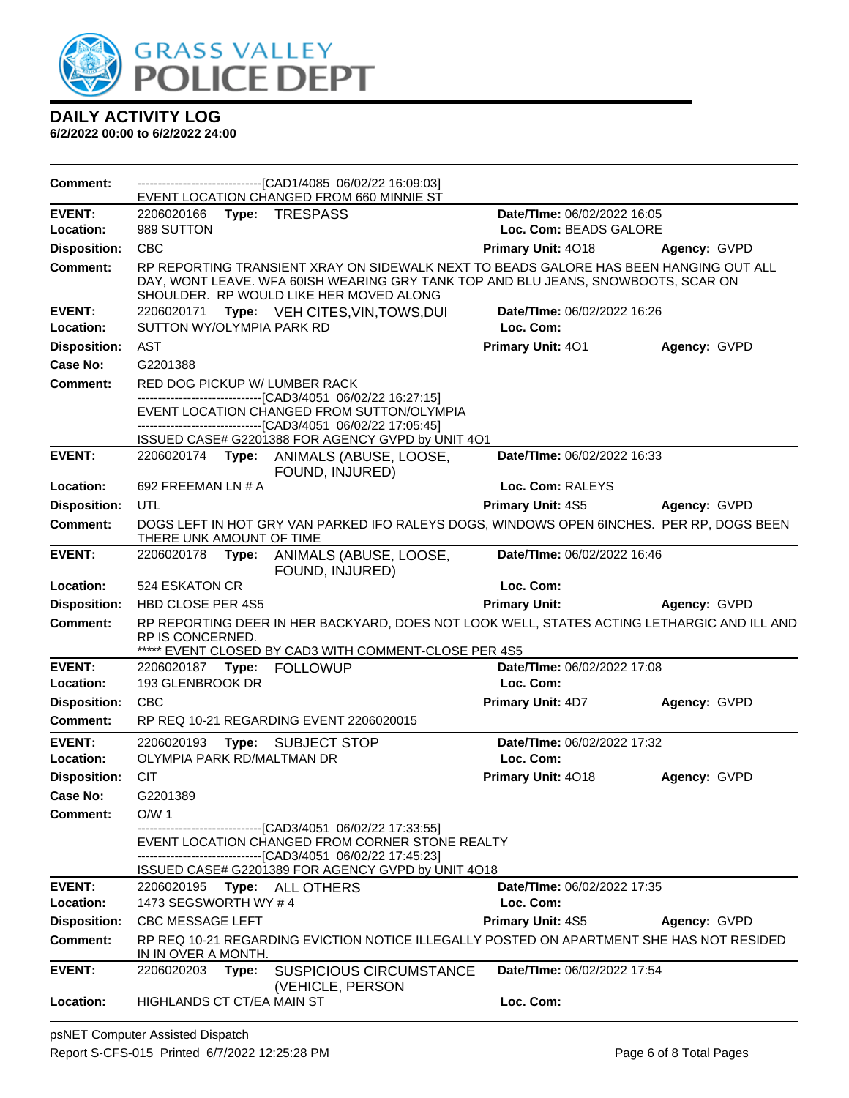

| <b>Comment:</b>            |                                            | ---------------------------------[CAD1/4085 06/02/22 16:09:03]<br>EVENT LOCATION CHANGED FROM 660 MINNIE ST                                                                                                           |                                          |              |
|----------------------------|--------------------------------------------|-----------------------------------------------------------------------------------------------------------------------------------------------------------------------------------------------------------------------|------------------------------------------|--------------|
| <b>EVENT:</b>              | 2206020166                                 | Type: TRESPASS                                                                                                                                                                                                        | Date/TIme: 06/02/2022 16:05              |              |
| Location:                  | 989 SUTTON                                 |                                                                                                                                                                                                                       | Loc. Com: BEADS GALORE                   |              |
| <b>Disposition:</b>        | <b>CBC</b>                                 |                                                                                                                                                                                                                       | <b>Primary Unit: 4018</b>                | Agency: GVPD |
| <b>Comment:</b>            |                                            | RP REPORTING TRANSIENT XRAY ON SIDEWALK NEXT TO BEADS GALORE HAS BEEN HANGING OUT ALL<br>DAY, WONT LEAVE. WFA 60ISH WEARING GRY TANK TOP AND BLU JEANS, SNOWBOOTS, SCAR ON<br>SHOULDER. RP WOULD LIKE HER MOVED ALONG |                                          |              |
| <b>EVENT:</b><br>Location: | 2206020171<br>SUTTON WY/OLYMPIA PARK RD    | <b>Type:</b> VEH CITES, VIN, TOWS, DUI                                                                                                                                                                                | Date/TIme: 06/02/2022 16:26<br>Loc. Com: |              |
| <b>Disposition:</b>        | <b>AST</b>                                 |                                                                                                                                                                                                                       | Primary Unit: 401                        | Agency: GVPD |
| Case No:                   | G2201388                                   |                                                                                                                                                                                                                       |                                          |              |
| Comment:                   | RED DOG PICKUP W/ LUMBER RACK              |                                                                                                                                                                                                                       |                                          |              |
|                            |                                            | ---------------------------[CAD3/4051_06/02/22 16:27:15]                                                                                                                                                              |                                          |              |
|                            |                                            | EVENT LOCATION CHANGED FROM SUTTON/OLYMPIA<br>-------------------[CAD3/4051_06/02/22 17:05:45]                                                                                                                        |                                          |              |
|                            |                                            | ISSUED CASE# G2201388 FOR AGENCY GVPD by UNIT 4O1                                                                                                                                                                     |                                          |              |
| <b>EVENT:</b>              | 2206020174 <b>Type:</b>                    | ANIMALS (ABUSE, LOOSE,<br>FOUND, INJURED)                                                                                                                                                                             | Date/TIme: 06/02/2022 16:33              |              |
| Location:                  | 692 FREEMAN LN # A                         |                                                                                                                                                                                                                       | Loc. Com: RALEYS                         |              |
| <b>Disposition:</b>        | UTL                                        |                                                                                                                                                                                                                       | Primary Unit: 4S5                        | Agency: GVPD |
| <b>Comment:</b>            | THERE UNK AMOUNT OF TIME                   | DOGS LEFT IN HOT GRY VAN PARKED IFO RALEYS DOGS, WINDOWS OPEN 6INCHES. PER RP, DOGS BEEN                                                                                                                              |                                          |              |
| <b>EVENT:</b>              | 2206020178<br>Type:                        | ANIMALS (ABUSE, LOOSE,<br>FOUND, INJURED)                                                                                                                                                                             | Date/TIme: 06/02/2022 16:46              |              |
| Location:                  | 524 ESKATON CR                             |                                                                                                                                                                                                                       | Loc. Com:                                |              |
|                            |                                            |                                                                                                                                                                                                                       |                                          |              |
| <b>Disposition:</b>        | <b>HBD CLOSE PER 4S5</b>                   |                                                                                                                                                                                                                       | <b>Primary Unit:</b>                     | Agency: GVPD |
| <b>Comment:</b>            | RP IS CONCERNED.                           | RP REPORTING DEER IN HER BACKYARD, DOES NOT LOOK WELL, STATES ACTING LETHARGIC AND ILL AND                                                                                                                            |                                          |              |
|                            |                                            | EVENT CLOSED BY CAD3 WITH COMMENT-CLOSE PER 4S5                                                                                                                                                                       |                                          |              |
| <b>EVENT:</b><br>Location: | 2206020187 Type:<br>193 GLENBROOK DR       | <b>FOLLOWUP</b>                                                                                                                                                                                                       | Date/TIme: 06/02/2022 17:08<br>Loc. Com: |              |
| <b>Disposition:</b>        | <b>CBC</b>                                 |                                                                                                                                                                                                                       | <b>Primary Unit: 4D7</b>                 | Agency: GVPD |
| <b>Comment:</b>            |                                            | RP REQ 10-21 REGARDING EVENT 2206020015                                                                                                                                                                               |                                          |              |
|                            |                                            |                                                                                                                                                                                                                       |                                          |              |
| <b>EVENT:</b><br>Location: | 2206020193<br>OLYMPIA PARK RD/MALTMAN DR   | Type: SUBJECT STOP                                                                                                                                                                                                    | Date/TIme: 06/02/2022 17:32<br>Loc. Com: |              |
| <b>Disposition:</b>        | <b>CIT</b>                                 |                                                                                                                                                                                                                       | Primary Unit: 4018                       | Agency: GVPD |
| Case No:                   | G2201389                                   |                                                                                                                                                                                                                       |                                          |              |
| Comment:                   | O/W <sub>1</sub>                           |                                                                                                                                                                                                                       |                                          |              |
|                            |                                            | --------------------------[CAD3/4051_06/02/22 17:33:55]<br>EVENT LOCATION CHANGED FROM CORNER STONE REALTY                                                                                                            |                                          |              |
|                            |                                            | ------------------------[CAD3/4051_06/02/22 17:45:23]<br>ISSUED CASE# G2201389 FOR AGENCY GVPD by UNIT 4O18                                                                                                           |                                          |              |
| <b>EVENT:</b><br>Location: | 2206020195<br>1473 SEGSWORTH WY #4         | <b>Type: ALL OTHERS</b>                                                                                                                                                                                               | Date/TIme: 06/02/2022 17:35<br>Loc. Com: |              |
| <b>Disposition:</b>        | <b>CBC MESSAGE LEFT</b>                    |                                                                                                                                                                                                                       | <b>Primary Unit: 4S5</b>                 | Agency: GVPD |
| Comment:                   |                                            | RP REQ 10-21 REGARDING EVICTION NOTICE ILLEGALLY POSTED ON APARTMENT SHE HAS NOT RESIDED                                                                                                                              |                                          |              |
| <b>EVENT:</b>              | IN IN OVER A MONTH.<br>2206020203<br>Type: | <b>SUSPICIOUS CIRCUMSTANCE</b><br>(VEHICLE, PERSON                                                                                                                                                                    | Date/TIme: 06/02/2022 17:54              |              |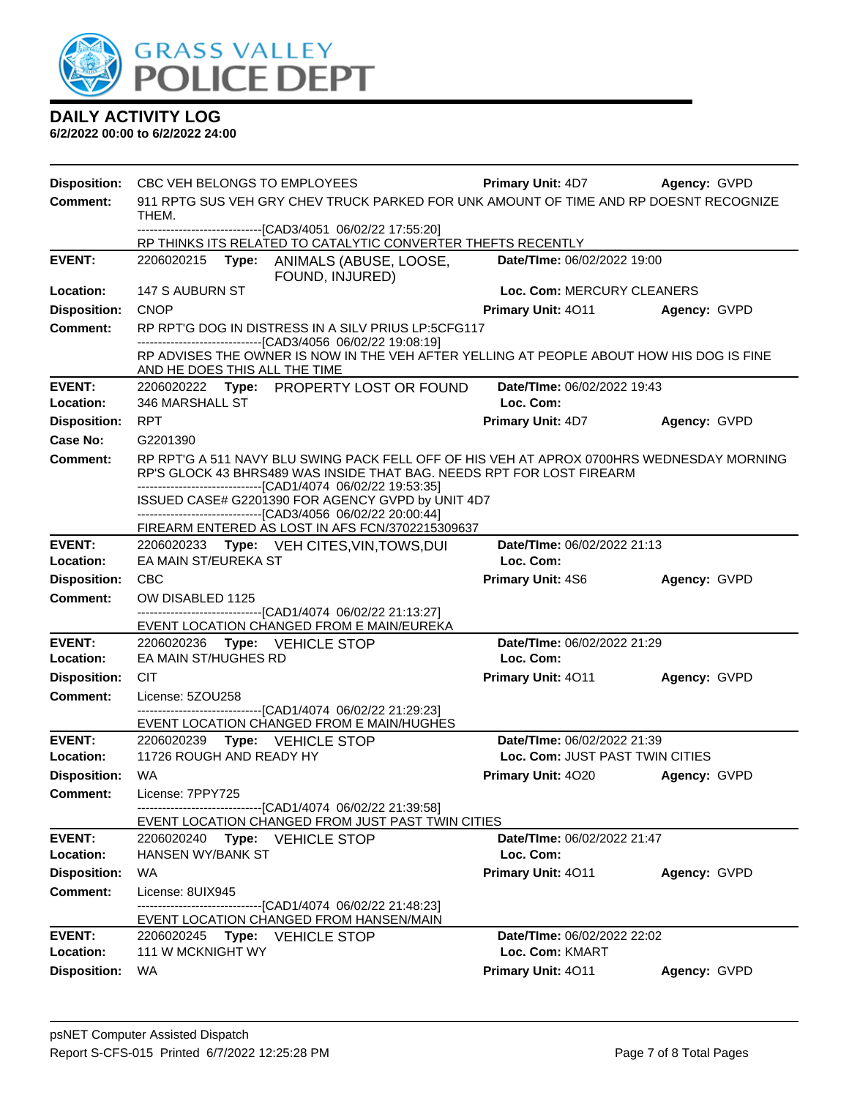

| <b>Disposition:</b> |                                                                                                                                                                                            | CBC VEH BELONGS TO EMPLOYEES                                                                                                                                                                                                       | <b>Primary Unit: 4D7</b>        | Agency: GVPD |  |  |  |
|---------------------|--------------------------------------------------------------------------------------------------------------------------------------------------------------------------------------------|------------------------------------------------------------------------------------------------------------------------------------------------------------------------------------------------------------------------------------|---------------------------------|--------------|--|--|--|
| <b>Comment:</b>     |                                                                                                                                                                                            | 911 RPTG SUS VEH GRY CHEV TRUCK PARKED FOR UNK AMOUNT OF TIME AND RP DOESNT RECOGNIZE                                                                                                                                              |                                 |              |  |  |  |
|                     | THEM.                                                                                                                                                                                      | -------------------------------[CAD3/4051 06/02/22 17:55:20]                                                                                                                                                                       |                                 |              |  |  |  |
|                     |                                                                                                                                                                                            | RP THINKS ITS RELATED TO CATALYTIC CONVERTER THEFTS RECENTLY                                                                                                                                                                       |                                 |              |  |  |  |
| <b>EVENT:</b>       |                                                                                                                                                                                            | 2206020215 Type: ANIMALS (ABUSE, LOOSE,<br>FOUND, INJURED)                                                                                                                                                                         | Date/TIme: 06/02/2022 19:00     |              |  |  |  |
| Location:           | 147 S AUBURN ST                                                                                                                                                                            |                                                                                                                                                                                                                                    | Loc. Com: MERCURY CLEANERS      |              |  |  |  |
| <b>Disposition:</b> | <b>CNOP</b>                                                                                                                                                                                |                                                                                                                                                                                                                                    | <b>Primary Unit: 4011</b>       | Agency: GVPD |  |  |  |
| <b>Comment:</b>     |                                                                                                                                                                                            | RP RPT'G DOG IN DISTRESS IN A SILV PRIUS LP:5CFG117                                                                                                                                                                                |                                 |              |  |  |  |
|                     | --------------------------------[CAD3/4056 06/02/22 19:08:19]<br>RP ADVISES THE OWNER IS NOW IN THE VEH AFTER YELLING AT PEOPLE ABOUT HOW HIS DOG IS FINE<br>AND HE DOES THIS ALL THE TIME |                                                                                                                                                                                                                                    |                                 |              |  |  |  |
| <b>EVENT:</b>       |                                                                                                                                                                                            | 2206020222 Type: PROPERTY LOST OR FOUND                                                                                                                                                                                            | Date/TIme: 06/02/2022 19:43     |              |  |  |  |
| Location:           | 346 MARSHALL ST                                                                                                                                                                            |                                                                                                                                                                                                                                    | Loc. Com:                       |              |  |  |  |
| <b>Disposition:</b> | RPT                                                                                                                                                                                        |                                                                                                                                                                                                                                    | <b>Primary Unit: 4D7</b>        | Agency: GVPD |  |  |  |
| Case No:            | G2201390                                                                                                                                                                                   |                                                                                                                                                                                                                                    |                                 |              |  |  |  |
| <b>Comment:</b>     |                                                                                                                                                                                            | RP RPT'G A 511 NAVY BLU SWING PACK FELL OFF OF HIS VEH AT APROX 0700HRS WEDNESDAY MORNING<br>RP'S GLOCK 43 BHRS489 WAS INSIDE THAT BAG. NEEDS RPT FOR LOST FIREARM<br>-------------------------------[CAD1/4074 06/02/22 19:53:35] |                                 |              |  |  |  |
|                     |                                                                                                                                                                                            | ISSUED CASE# G2201390 FOR AGENCY GVPD by UNIT 4D7                                                                                                                                                                                  |                                 |              |  |  |  |
|                     |                                                                                                                                                                                            | ------------------------------[CAD3/4056 06/02/22 20:00:44]<br>FIREARM ENTERED AS LOST IN AFS FCN/3702215309637                                                                                                                    |                                 |              |  |  |  |
| <b>EVENT:</b>       |                                                                                                                                                                                            | 2206020233 Type: VEH CITES, VIN, TOWS, DUI                                                                                                                                                                                         | Date/TIme: 06/02/2022 21:13     |              |  |  |  |
| Location:           | EA MAIN ST/EUREKA ST                                                                                                                                                                       |                                                                                                                                                                                                                                    | Loc. Com:                       |              |  |  |  |
| <b>Disposition:</b> | <b>CBC</b>                                                                                                                                                                                 |                                                                                                                                                                                                                                    | <b>Primary Unit: 4S6</b>        | Agency: GVPD |  |  |  |
| <b>Comment:</b>     | OW DISABLED 1125                                                                                                                                                                           |                                                                                                                                                                                                                                    |                                 |              |  |  |  |
|                     |                                                                                                                                                                                            | ------------------------------[CAD1/4074 06/02/22 21:13:27]<br>EVENT LOCATION CHANGED FROM E MAIN/EUREKA                                                                                                                           |                                 |              |  |  |  |
| <b>EVENT:</b>       |                                                                                                                                                                                            | 2206020236    Type: VEHICLE STOP                                                                                                                                                                                                   | Date/TIme: 06/02/2022 21:29     |              |  |  |  |
| Location:           | EA MAIN ST/HUGHES RD                                                                                                                                                                       |                                                                                                                                                                                                                                    | Loc. Com:                       |              |  |  |  |
| <b>Disposition:</b> | <b>CIT</b>                                                                                                                                                                                 |                                                                                                                                                                                                                                    | Primary Unit: 4011              | Agency: GVPD |  |  |  |
| <b>Comment:</b>     | License: 5ZOU258                                                                                                                                                                           |                                                                                                                                                                                                                                    |                                 |              |  |  |  |
|                     |                                                                                                                                                                                            | ------------------------[CAD1/4074_06/02/22_21:29:23]                                                                                                                                                                              |                                 |              |  |  |  |
| <b>EVENT:</b>       |                                                                                                                                                                                            | EVENT LOCATION CHANGED FROM E MAIN/HUGHES<br>2206020239 Type: VEHICLE STOP                                                                                                                                                         | Date/TIme: 06/02/2022 21:39     |              |  |  |  |
| Location:           | 11726 ROUGH AND READY HY                                                                                                                                                                   |                                                                                                                                                                                                                                    | Loc. Com: JUST PAST TWIN CITIES |              |  |  |  |
| <b>Disposition:</b> | WA                                                                                                                                                                                         |                                                                                                                                                                                                                                    | Primary Unit: 4020              | Agency: GVPD |  |  |  |
| <b>Comment:</b>     | License: 7PPY725                                                                                                                                                                           |                                                                                                                                                                                                                                    |                                 |              |  |  |  |
|                     |                                                                                                                                                                                            | -------------------------------[CAD1/4074 06/02/22 21:39:58]<br>EVENT LOCATION CHANGED FROM JUST PAST TWIN CITIES                                                                                                                  |                                 |              |  |  |  |
| <b>EVENT:</b>       |                                                                                                                                                                                            | 2206020240 Type: VEHICLE STOP                                                                                                                                                                                                      | Date/TIme: 06/02/2022 21:47     |              |  |  |  |
| Location:           | <b>HANSEN WY/BANK ST</b>                                                                                                                                                                   |                                                                                                                                                                                                                                    | Loc. Com:                       |              |  |  |  |
| <b>Disposition:</b> | <b>WA</b>                                                                                                                                                                                  |                                                                                                                                                                                                                                    | Primary Unit: 4011              | Agency: GVPD |  |  |  |
| <b>Comment:</b>     | License: 8UIX945                                                                                                                                                                           |                                                                                                                                                                                                                                    |                                 |              |  |  |  |
|                     |                                                                                                                                                                                            | -------------------------------[CAD1/4074 06/02/22 21:48:23]<br>EVENT LOCATION CHANGED FROM HANSEN/MAIN                                                                                                                            |                                 |              |  |  |  |
| <b>EVENT:</b>       |                                                                                                                                                                                            | 2206020245 Type: VEHICLE STOP                                                                                                                                                                                                      | Date/TIme: 06/02/2022 22:02     |              |  |  |  |
| Location:           | 111 W MCKNIGHT WY                                                                                                                                                                          |                                                                                                                                                                                                                                    | Loc. Com: KMART                 |              |  |  |  |
| <b>Disposition:</b> | WA                                                                                                                                                                                         |                                                                                                                                                                                                                                    | Primary Unit: 4011              | Agency: GVPD |  |  |  |